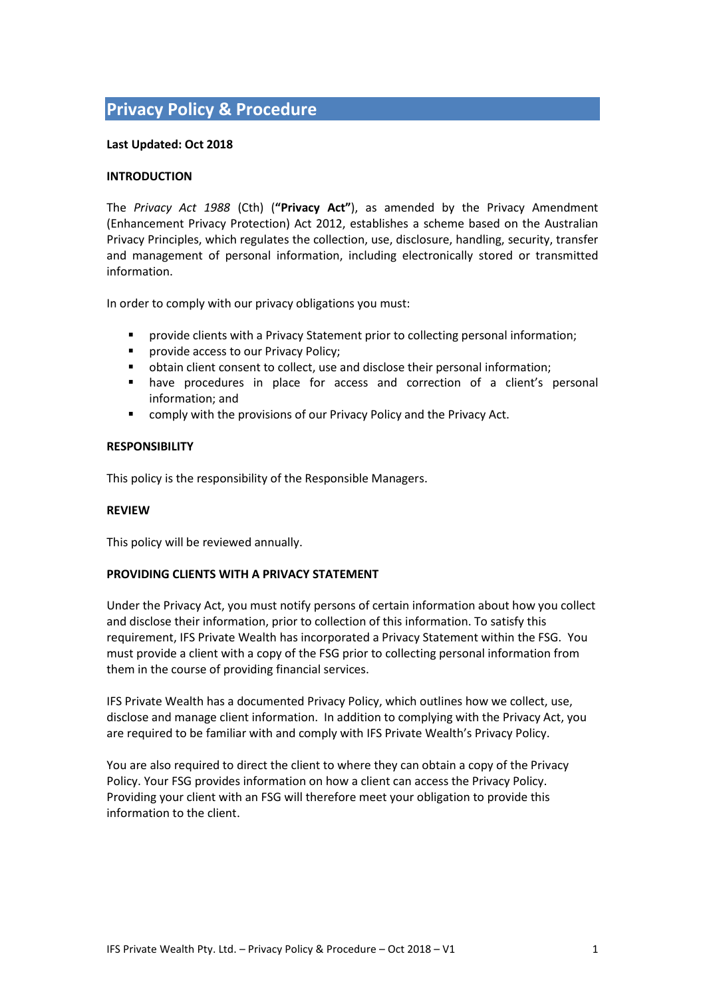# **Privacy Policy & Procedure**

#### **Last Updated: Oct 2018**

#### **INTRODUCTION**

The *Privacy Act 1988* (Cth) (**"Privacy Act"**), as amended by the Privacy Amendment (Enhancement Privacy Protection) Act 2012, establishes a scheme based on the Australian Privacy Principles, which regulates the collection, use, disclosure, handling, security, transfer and management of personal information, including electronically stored or transmitted information.

In order to comply with our privacy obligations you must:

- provide clients with a Privacy Statement prior to collecting personal information;
- **Part Provide access to our Privacy Policy;**
- obtain client consent to collect, use and disclose their personal information;
- have procedures in place for access and correction of a client's personal information; and
- comply with the provisions of our Privacy Policy and the Privacy Act.

#### **RESPONSIBILITY**

This policy is the responsibility of the Responsible Managers.

# **REVIEW**

This policy will be reviewed annually.

# **PROVIDING CLIENTS WITH A PRIVACY STATEMENT**

Under the Privacy Act, you must notify persons of certain information about how you collect and disclose their information, prior to collection of this information. To satisfy this requirement, IFS Private Wealth has incorporated a Privacy Statement within the FSG. You must provide a client with a copy of the FSG prior to collecting personal information from them in the course of providing financial services.

IFS Private Wealth has a documented Privacy Policy, which outlines how we collect, use, disclose and manage client information. In addition to complying with the Privacy Act, you are required to be familiar with and comply with IFS Private Wealth's Privacy Policy.

You are also required to direct the client to where they can obtain a copy of the Privacy Policy. Your FSG provides information on how a client can access the Privacy Policy. Providing your client with an FSG will therefore meet your obligation to provide this information to the client.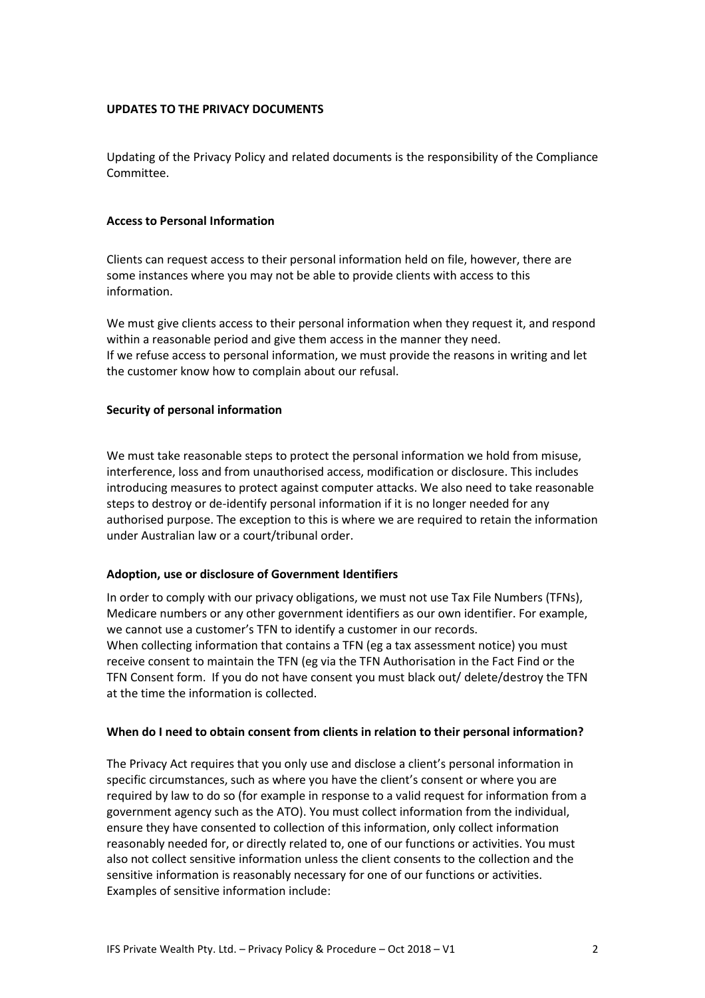#### **UPDATES TO THE PRIVACY DOCUMENTS**

Updating of the Privacy Policy and related documents is the responsibility of the Compliance Committee.

#### **Access to Personal Information**

Clients can request access to their personal information held on file, however, there are some instances where you may not be able to provide clients with access to this information.

We must give clients access to their personal information when they request it, and respond within a reasonable period and give them access in the manner they need. If we refuse access to personal information, we must provide the reasons in writing and let the customer know how to complain about our refusal.

#### **Security of personal information**

We must take reasonable steps to protect the personal information we hold from misuse, interference, loss and from unauthorised access, modification or disclosure. This includes introducing measures to protect against computer attacks. We also need to take reasonable steps to destroy or de-identify personal information if it is no longer needed for any authorised purpose. The exception to this is where we are required to retain the information under Australian law or a court/tribunal order.

# **Adoption, use or disclosure of Government Identifiers**

In order to comply with our privacy obligations, we must not use Tax File Numbers (TFNs), Medicare numbers or any other government identifiers as our own identifier. For example, we cannot use a customer's TFN to identify a customer in our records. When collecting information that contains a TFN (eg a tax assessment notice) you must receive consent to maintain the TFN (eg via the TFN Authorisation in the Fact Find or the TFN Consent form. If you do not have consent you must black out/ delete/destroy the TFN at the time the information is collected.

# **When do I need to obtain consent from clients in relation to their personal information?**

The Privacy Act requires that you only use and disclose a client's personal information in specific circumstances, such as where you have the client's consent or where you are required by law to do so (for example in response to a valid request for information from a government agency such as the ATO). You must collect information from the individual, ensure they have consented to collection of this information, only collect information reasonably needed for, or directly related to, one of our functions or activities. You must also not collect sensitive information unless the client consents to the collection and the sensitive information is reasonably necessary for one of our functions or activities. Examples of sensitive information include: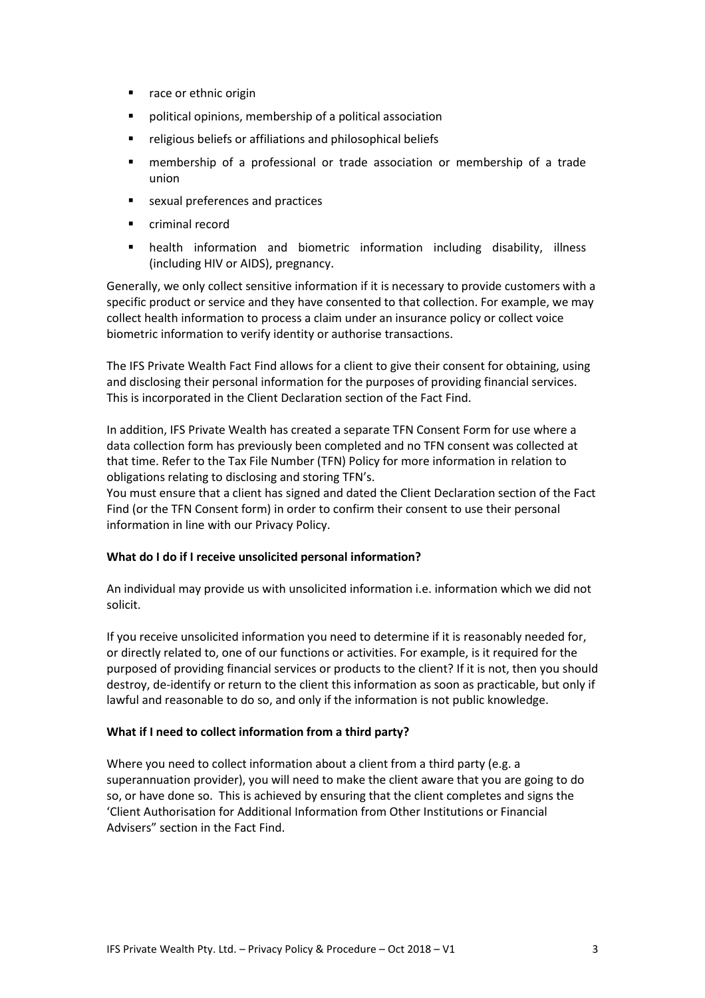- race or ethnic origin
- political opinions, membership of a political association
- religious beliefs or affiliations and philosophical beliefs
- membership of a professional or trade association or membership of a trade union
- sexual preferences and practices
- criminal record
- health information and biometric information including disability, illness (including HIV or AIDS), pregnancy.

Generally, we only collect sensitive information if it is necessary to provide customers with a specific product or service and they have consented to that collection. For example, we may collect health information to process a claim under an insurance policy or collect voice biometric information to verify identity or authorise transactions.

The IFS Private Wealth Fact Find allows for a client to give their consent for obtaining, using and disclosing their personal information for the purposes of providing financial services. This is incorporated in the Client Declaration section of the Fact Find.

In addition, IFS Private Wealth has created a separate TFN Consent Form for use where a data collection form has previously been completed and no TFN consent was collected at that time. Refer to the Tax File Number (TFN) Policy for more information in relation to obligations relating to disclosing and storing TFN's.

You must ensure that a client has signed and dated the Client Declaration section of the Fact Find (or the TFN Consent form) in order to confirm their consent to use their personal information in line with our Privacy Policy.

# **What do I do if I receive unsolicited personal information?**

An individual may provide us with unsolicited information i.e. information which we did not solicit.

If you receive unsolicited information you need to determine if it is reasonably needed for, or directly related to, one of our functions or activities. For example, is it required for the purposed of providing financial services or products to the client? If it is not, then you should destroy, de-identify or return to the client this information as soon as practicable, but only if lawful and reasonable to do so, and only if the information is not public knowledge.

# **What if I need to collect information from a third party?**

Where you need to collect information about a client from a third party (e.g. a superannuation provider), you will need to make the client aware that you are going to do so, or have done so. This is achieved by ensuring that the client completes and signs the 'Client Authorisation for Additional Information from Other Institutions or Financial Advisers" section in the Fact Find.